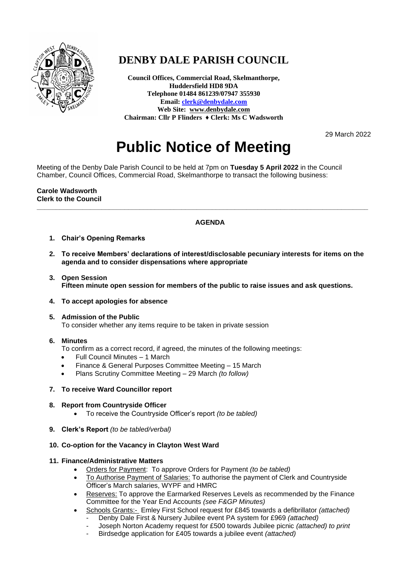

## **DENBY DALE PARISH COUNCIL**

**Council Offices, Commercial Road, Skelmanthorpe, Huddersfield HD8 9DA Telephone 01484 861239/07947 355930 Email[: clerk@denbydale.com](mailto:clerk@denbydale.com) Web Site: [www.denbydale.com](http://www.denbydale.com/) Chairman: Cllr P Flinders ♦ Clerk: Ms C Wadsworth**

29 March 2022

# **Public Notice of Meeting**

Meeting of the Denby Dale Parish Council to be held at 7pm on **Tuesday 5 April 2022** in the Council Chamber, Council Offices, Commercial Road, Skelmanthorpe to transact the following business:

#### **Carole Wadsworth Clerk to the Council**

### **AGENDA**

**\_\_\_\_\_\_\_\_\_\_\_\_\_\_\_\_\_\_\_\_\_\_\_\_\_\_\_\_\_\_\_\_\_\_\_\_\_\_\_\_\_\_\_\_\_\_\_\_\_\_\_\_\_\_\_\_\_\_\_\_\_\_\_\_\_\_\_\_\_\_\_\_\_\_\_\_\_\_\_\_\_\_\_\_\_\_\_**

- **1. Chair's Opening Remarks**
- **2. To receive Members' declarations of interest/disclosable pecuniary interests for items on the agenda and to consider dispensations where appropriate**
- **3. Open Session Fifteen minute open session for members of the public to raise issues and ask questions.**
- **4. To accept apologies for absence**
- **5. Admission of the Public** To consider whether any items require to be taken in private session
- **6. Minutes**
	- To confirm as a correct record, if agreed, the minutes of the following meetings:
	- Full Council Minutes 1 March
	- Finance & General Purposes Committee Meeting 15 March
	- Plans Scrutiny Committee Meeting 29 March *(to follow)*

#### **7. To receive Ward Councillor report**

- **8. Report from Countryside Officer**
	- To receive the Countryside Officer's report *(to be tabled)*
- **9. Clerk's Report** *(to be tabled/verbal)*

#### **10. Co-option for the Vacancy in Clayton West Ward**

#### **11. Finance/Administrative Matters**

- Orders for Payment: To approve Orders for Payment *(to be tabled)*
- To Authorise Payment of Salaries: To authorise the payment of Clerk and Countryside Officer's March salaries, WYPF and HMRC
- Reserves: To approve the Earmarked Reserves Levels as recommended by the Finance Committee for the Year End Accounts *(see F&GP Minutes)*
- Schools Grants:- Emley First School request for £845 towards a defibrillator *(attached)*
	- Denby Dale First & Nursery Jubilee event PA system for £969 *(attached)*
	- Joseph Norton Academy request for £500 towards Jubilee picnic *(attached) to print*
	- Birdsedge application for £405 towards a jubilee event *(attached)*